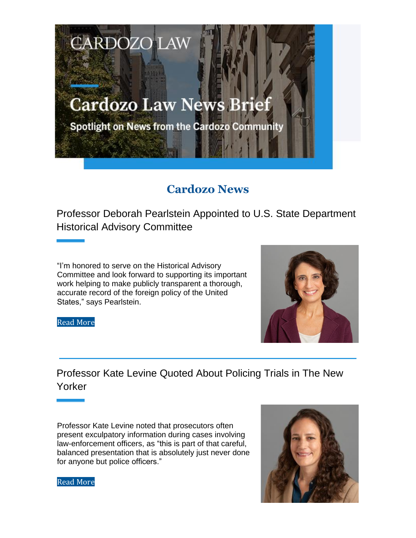# **Cardozo Law News Brief**

**CARDOZO LAW** 

Spotlight on News from the Cardozo Community

# **Cardozo News**

Professor Deborah Pearlstein Appointed to U.S. State Department Historical Advisory Committee

"I'm honored to serve on the Historical Advisory Committee and look forward to supporting its important work helping to make publicly transparent a thorough, accurate record of the foreign policy of the United States," says Pearlstein.

Read More

Professor Kate Levine Quoted About Policing Trials in The New Yorker

Professor Kate Levine noted that prosecutors often present exculpatory information during cases involving law-enforcement officers, as "this is part of that careful, balanced presentation that is absolutely just never done for anyone but police officers."



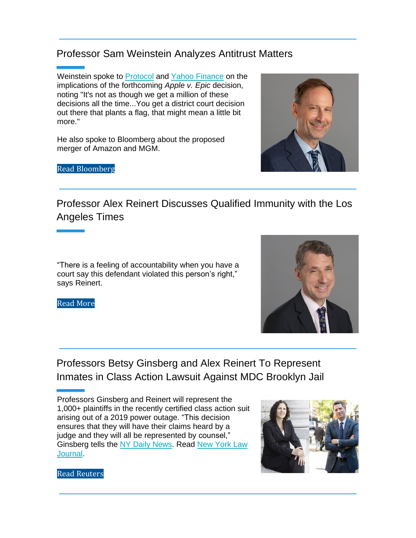## Professor Sam Weinstein Analyzes Antitrust Matters

Weinstein spoke to Protocol and Yahoo Finance on the implications of the forthcoming *Apple v. Epic* decision, noting "It's not as though we get a million of these decisions all the time...You get a district court decision out there that plants a flag, that might mean a little bit more."

He also spoke to Bloomberg about the proposed merger of Amazon and MGM.

Professor Alex Reinert Discusses Qualified Immunity with the Los Angeles Times

"There is a feeling of accountability when you have a court say this defendant violated this person's right," says Reinert.

Professors Betsy Ginsberg and Alex Reinert To Represent Inmates in Class Action Lawsuit Against MDC Brooklyn Jail

Professors Ginsberg and Reinert will represent the 1,000+ plaintiffs in the recently certified class action suit arising out of a 2019 power outage. "This decision ensures that they will have their claims heard by a judge and they will all be represented by counsel," Ginsberg tells the NY Daily News. Read New York Law Journal.

Read Reuters







Read More

Read Bloomberg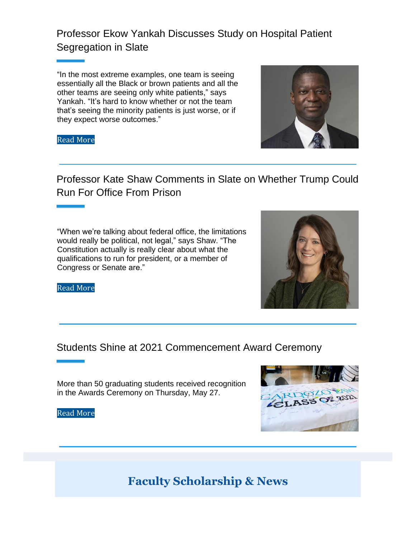## Professor Ekow Yankah Discusses Study on Hospital Patient Segregation in Slate

"In the most extreme examples, one team is seeing essentially all the Black or brown patients and all the other teams are seeing only white patients," says Yankah. "It's hard to know whether or not the team that's seeing the minority patients is just worse, or if they expect worse outcomes."





Professor Kate Shaw Comments in Slate on Whether Trump Could Run For Office From Prison

"When we're talking about federal office, the limitations would really be political, not legal," says Shaw. "The Constitution actually is really clear about what the qualifications to run for president, or a member of Congress or Senate are."



Read More

### Students Shine at 2021 Commencement Award Ceremony

More than 50 graduating students received recognition in the Awards Ceremony on Thursday, May 27.

Read More



**Faculty Scholarship & News**